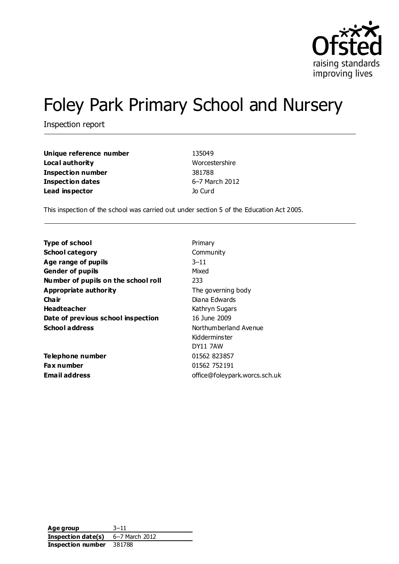

# Foley Park Primary School and Nursery

Inspection report

| Unique reference number | 135049         |
|-------------------------|----------------|
| Local authority         | Worcestershire |
| Inspection number       | 381788         |
| <b>Inspection dates</b> | 6-7 March 2012 |
| Lead inspector          | Jo Curd        |

This inspection of the school was carried out under section 5 of the Education Act 2005.

| Type of school                      | Primary                       |  |
|-------------------------------------|-------------------------------|--|
| <b>School category</b>              | Community                     |  |
| Age range of pupils                 | $3 - 11$                      |  |
| <b>Gender of pupils</b>             | Mixed                         |  |
| Number of pupils on the school roll | 233                           |  |
| Appropriate authority               | The governing body            |  |
| Cha ir                              | Diana Edwards                 |  |
| <b>Headteacher</b>                  | Kathryn Sugars                |  |
| Date of previous school inspection  | 16 June 2009                  |  |
| <b>School address</b>               | Northumberland Avenue         |  |
|                                     | Kidderminster                 |  |
|                                     | <b>DY11 7AW</b>               |  |
| Telephone number                    | 01562 823857                  |  |
| <b>Fax number</b>                   | 01562 752191                  |  |
| Email address                       | office@foleypark.worcs.sch.uk |  |
|                                     |                               |  |

**Age group** 3–11 **Inspection date(s)** 6–7 March 2012 **Inspection number** 381788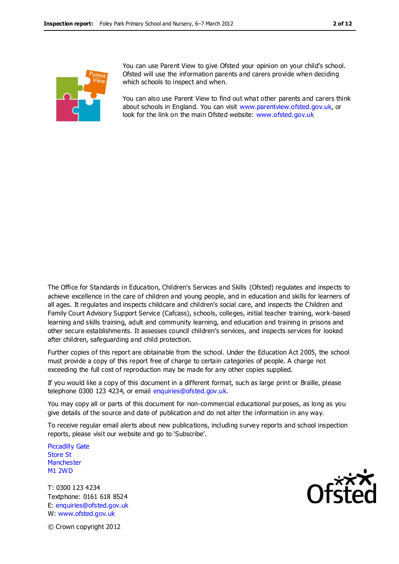

You can use Parent View to give Ofsted your opinion on your child's school. Ofsted will use the information parents and carers provide when deciding which schools to inspect and when.

You can also use Parent View to find out what other parents and carers think about schools in England. You can visit [www.parentview.ofsted.gov.uk,](http://www.parentview.ofsted.gov.uk/) or look for the link on the main Ofsted website: [www.ofsted.gov.uk](http://www.ofsted.gov.uk/)

The Office for Standards in Education, Children's Services and Skills (Ofsted) regulates and inspects to achieve excellence in the care of children and young people, and in education and skills for learners of all ages. It regulates and inspects childcare and children's social care, and inspects the Children and Family Court Advisory Support Service (Cafcass), schools, colleges, initial teacher training, work-based learning and skills training, adult and community learning, and education and training in prisons and other secure establishments. It assesses council children's services, and inspects services for looked after children, safeguarding and child protection.

Further copies of this report are obtainable from the school. Under the Education Act 2005, the school must provide a copy of this report free of charge to certain categories of people. A charge not exceeding the full cost of reproduction may be made for any other copies supplied.

If you would like a copy of this document in a different format, such as large print or Braille, please telephone 0300 123 4234, or email enquiries@ofsted.gov.uk.

You may copy all or parts of this document for non-commercial educational purposes, as long as you give details of the source and date of publication and do not alter the information in any way.

To receive regular email alerts about new publications, including survey reports and school inspection reports, please visit our website and go to 'Subscribe'.

Piccadilly Gate Store St **Manchester** M1 2WD

T: 0300 123 4234 Textphone: 0161 618 8524 E: enquiries@ofsted.gov.uk W: www.ofsted.gov.uk



© Crown copyright 2012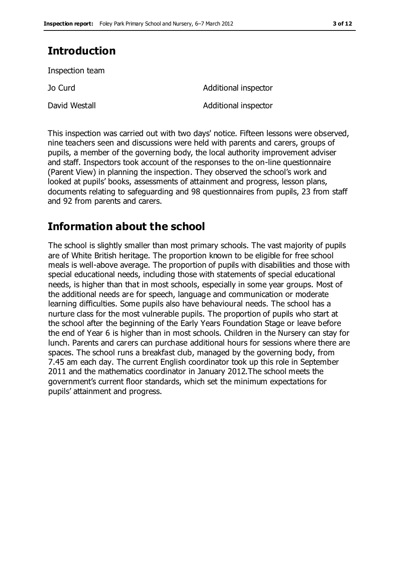# **Introduction**

Inspection team

Jo Curd Additional inspector David Westall **David Westall** Additional inspector

This inspection was carried out with two days' notice. Fifteen lessons were observed, nine teachers seen and discussions were held with parents and carers, groups of pupils, a member of the governing body, the local authority improvement adviser and staff. Inspectors took account of the responses to the on-line questionnaire (Parent View) in planning the inspection. They observed the school's work and looked at pupils' books, assessments of attainment and progress, lesson plans, documents relating to safeguarding and 98 questionnaires from pupils, 23 from staff and 92 from parents and carers.

## **Information about the school**

The school is slightly smaller than most primary schools. The vast majority of pupils are of White British heritage. The proportion known to be eligible for free school meals is well-above average. The proportion of pupils with disabilities and those with special educational needs, including those with statements of special educational needs, is higher than that in most schools, especially in some year groups. Most of the additional needs are for speech, language and communication or moderate learning difficulties. Some pupils also have behavioural needs. The school has a nurture class for the most vulnerable pupils. The proportion of pupils who start at the school after the beginning of the Early Years Foundation Stage or leave before the end of Year 6 is higher than in most schools. Children in the Nursery can stay for lunch. Parents and carers can purchase additional hours for sessions where there are spaces. The school runs a breakfast club, managed by the governing body, from 7.45 am each day. The current English coordinator took up this role in September 2011 and the mathematics coordinator in January 2012.The school meets the government's current floor standards, which set the minimum expectations for pupils' attainment and progress.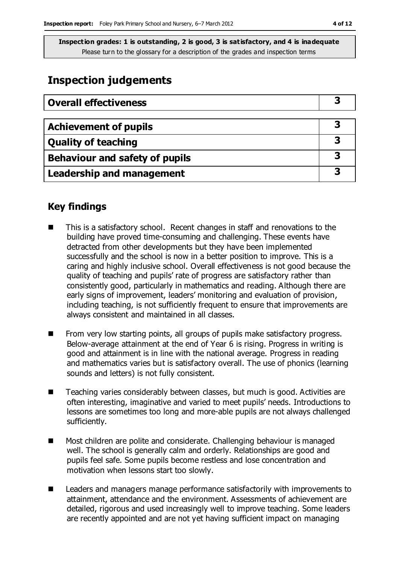## **Inspection judgements**

| <b>Overall effectiveness</b>     |  |
|----------------------------------|--|
|                                  |  |
| <b>Achievement of pupils</b>     |  |
| <b>Quality of teaching</b>       |  |
| Behaviour and safety of pupils   |  |
| <b>Leadership and management</b> |  |

## **Key findings**

- This is a satisfactory school. Recent changes in staff and renovations to the building have proved time-consuming and challenging. These events have detracted from other developments but they have been implemented successfully and the school is now in a better position to improve. This is a caring and highly inclusive school. Overall effectiveness is not good because the quality of teaching and pupils' rate of progress are satisfactory rather than consistently good, particularly in mathematics and reading. Although there are early signs of improvement, leaders' monitoring and evaluation of provision, including teaching, is not sufficiently frequent to ensure that improvements are always consistent and maintained in all classes.
- $\blacksquare$  From very low starting points, all groups of pupils make satisfactory progress. Below-average attainment at the end of Year 6 is rising. Progress in writing is good and attainment is in line with the national average. Progress in reading and mathematics varies but is satisfactory overall. The use of phonics (learning sounds and letters) is not fully consistent.
- Teaching varies considerably between classes, but much is good. Activities are often interesting, imaginative and varied to meet pupils' needs. Introductions to lessons are sometimes too long and more-able pupils are not always challenged sufficiently.
- Most children are polite and considerate. Challenging behaviour is managed well. The school is generally calm and orderly. Relationships are good and pupils feel safe. Some pupils become restless and lose concentration and motivation when lessons start too slowly.
- Leaders and managers manage performance satisfactorily with improvements to attainment, attendance and the environment. Assessments of achievement are detailed, rigorous and used increasingly well to improve teaching. Some leaders are recently appointed and are not yet having sufficient impact on managing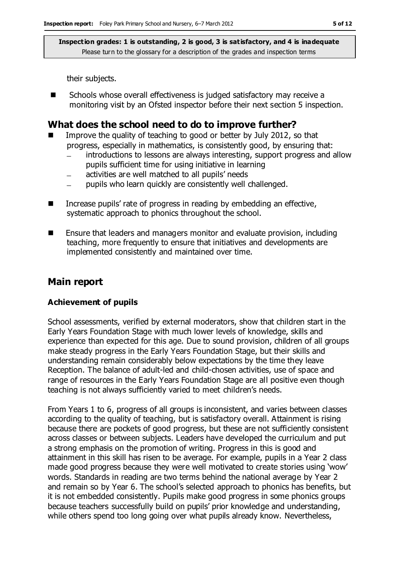their subjects.

■ Schools whose overall effectiveness is judged satisfactory may receive a monitoring visit by an Ofsted inspector before their next section 5 inspection.

## **What does the school need to do to improve further?**

- Improve the quality of teaching to good or better by July 2012, so that progress, especially in mathematics, is consistently good, by ensuring that:
	- introductions to lessons are always interesting, support progress and allow  $\frac{1}{2}$ pupils sufficient time for using initiative in learning
	- activities are well matched to all pupils' needs
	- pupils who learn quickly are consistently well challenged.
- Increase pupils' rate of progress in reading by embedding an effective, systematic approach to phonics throughout the school.
- Ensure that leaders and managers monitor and evaluate provision, including teaching, more frequently to ensure that initiatives and developments are implemented consistently and maintained over time.

## **Main report**

#### **Achievement of pupils**

School assessments, verified by external moderators, show that children start in the Early Years Foundation Stage with much lower levels of knowledge, skills and experience than expected for this age. Due to sound provision, children of all groups make steady progress in the Early Years Foundation Stage, but their skills and understanding remain considerably below expectations by the time they leave Reception. The balance of adult-led and child-chosen activities, use of space and range of resources in the Early Years Foundation Stage are all positive even though teaching is not always sufficiently varied to meet children's needs.

From Years 1 to 6, progress of all groups is inconsistent, and varies between classes according to the quality of teaching, but is satisfactory overall. Attainment is rising because there are pockets of good progress, but these are not sufficiently consistent across classes or between subjects. Leaders have developed the curriculum and put a strong emphasis on the promotion of writing. Progress in this is good and attainment in this skill has risen to be average. For example, pupils in a Year 2 class made good progress because they were well motivated to create stories using 'wow' words. Standards in reading are two terms behind the national average by Year 2 and remain so by Year 6. The school's selected approach to phonics has benefits, but it is not embedded consistently. Pupils make good progress in some phonics groups because teachers successfully build on pupils' prior knowledge and understanding, while others spend too long going over what pupils already know. Nevertheless,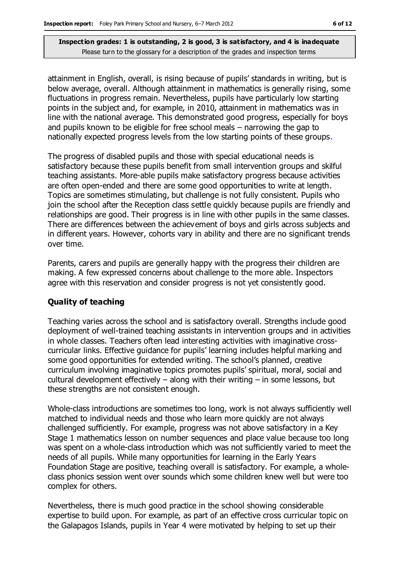attainment in English, overall, is rising because of pupils' standards in writing, but is below average, overall. Although attainment in mathematics is generally rising, some fluctuations in progress remain. Nevertheless, pupils have particularly low starting points in the subject and, for example, in 2010, attainment in mathematics was in line with the national average. This demonstrated good progress, especially for boys and pupils known to be eligible for free school meals – narrowing the gap to nationally expected progress levels from the low starting points of these groups.

The progress of disabled pupils and those with special educational needs is satisfactory because these pupils benefit from small intervention groups and skilful teaching assistants. More-able pupils make satisfactory progress because activities are often open-ended and there are some good opportunities to write at length. Topics are sometimes stimulating, but challenge is not fully consistent. Pupils who join the school after the Reception class settle quickly because pupils are friendly and relationships are good. Their progress is in line with other pupils in the same classes. There are differences between the achievement of boys and girls across subjects and in different years. However, cohorts vary in ability and there are no significant trends over time.

Parents, carers and pupils are generally happy with the progress their children are making. A few expressed concerns about challenge to the more able. Inspectors agree with this reservation and consider progress is not yet consistently good.

#### **Quality of teaching**

Teaching varies across the school and is satisfactory overall. Strengths include good deployment of well-trained teaching assistants in intervention groups and in activities in whole classes. Teachers often lead interesting activities with imaginative crosscurricular links. Effective guidance for pupils' learning includes helpful marking and some good opportunities for extended writing. The school's planned, creative curriculum involving imaginative topics promotes pupils' spiritual, moral, social and cultural development effectively  $-$  along with their writing  $-$  in some lessons, but these strengths are not consistent enough.

Whole-class introductions are sometimes too long, work is not always sufficiently well matched to individual needs and those who learn more quickly are not always challenged sufficiently. For example, progress was not above satisfactory in a Key Stage 1 mathematics lesson on number sequences and place value because too long was spent on a whole-class introduction which was not sufficiently varied to meet the needs of all pupils. While many opportunities for learning in the Early Years Foundation Stage are positive, teaching overall is satisfactory. For example, a wholeclass phonics session went over sounds which some children knew well but were too complex for others.

Nevertheless, there is much good practice in the school showing considerable expertise to build upon. For example, as part of an effective cross curricular topic on the Galapagos Islands, pupils in Year 4 were motivated by helping to set up their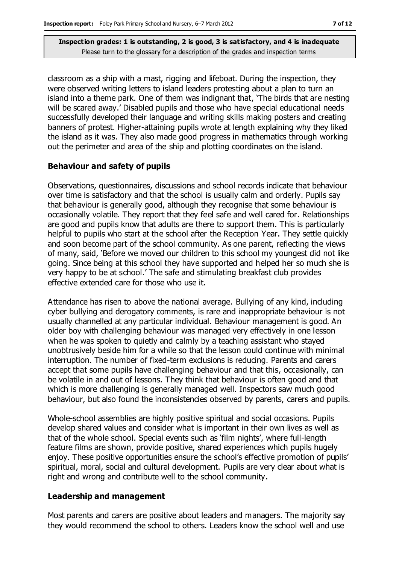classroom as a ship with a mast, rigging and lifeboat. During the inspection, they were observed writing letters to island leaders protesting about a plan to turn an island into a theme park. One of them was indignant that, 'The birds that are nesting will be scared away.' Disabled pupils and those who have special educational needs successfully developed their language and writing skills making posters and creating banners of protest. Higher-attaining pupils wrote at length explaining why they liked the island as it was. They also made good progress in mathematics through working out the perimeter and area of the ship and plotting coordinates on the island.

#### **Behaviour and safety of pupils**

Observations, questionnaires, discussions and school records indicate that behaviour over time is satisfactory and that the school is usually calm and orderly. Pupils say that behaviour is generally good, although they recognise that some behaviour is occasionally volatile. They report that they feel safe and well cared for. Relationships are good and pupils know that adults are there to support them. This is particularly helpful to pupils who start at the school after the Reception Year. They settle quickly and soon become part of the school community. As one parent, reflecting the views of many, said, 'Before we moved our children to this school my youngest did not like going. Since being at this school they have supported and helped her so much she is very happy to be at school.' The safe and stimulating breakfast club provides effective extended care for those who use it.

Attendance has risen to above the national average. Bullying of any kind, including cyber bullying and derogatory comments, is rare and inappropriate behaviour is not usually channelled at any particular individual. Behaviour management is good. An older boy with challenging behaviour was managed very effectively in one lesson when he was spoken to quietly and calmly by a teaching assistant who stayed unobtrusively beside him for a while so that the lesson could continue with minimal interruption. The number of fixed-term exclusions is reducing. Parents and carers accept that some pupils have challenging behaviour and that this, occasionally, can be volatile in and out of lessons. They think that behaviour is often good and that which is more challenging is generally managed well. Inspectors saw much good behaviour, but also found the inconsistencies observed by parents, carers and pupils.

Whole-school assemblies are highly positive spiritual and social occasions. Pupils develop shared values and consider what is important in their own lives as well as that of the whole school. Special events such as 'film nights', where full-length feature films are shown, provide positive, shared experiences which pupils hugely enjoy. These positive opportunities ensure the school's effective promotion of pupils' spiritual, moral, social and cultural development. Pupils are very clear about what is right and wrong and contribute well to the school community.

#### **Leadership and management**

Most parents and carers are positive about leaders and managers. The majority say they would recommend the school to others. Leaders know the school well and use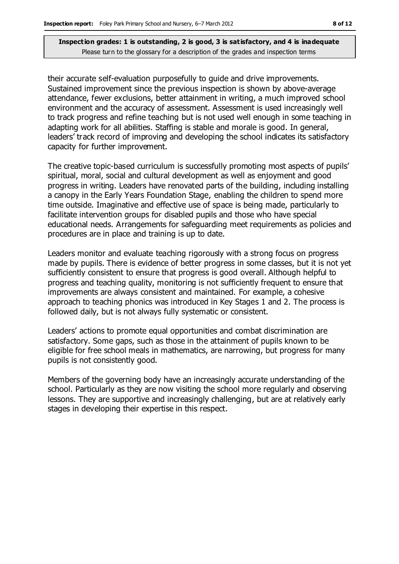their accurate self-evaluation purposefully to guide and drive improvements. Sustained improvement since the previous inspection is shown by above-average attendance, fewer exclusions, better attainment in writing, a much improved school environment and the accuracy of assessment. Assessment is used increasingly well to track progress and refine teaching but is not used well enough in some teaching in adapting work for all abilities. Staffing is stable and morale is good. In general, leaders' track record of improving and developing the school indicates its satisfactory capacity for further improvement.

The creative topic-based curriculum is successfully promoting most aspects of pupils' spiritual, moral, social and cultural development as well as enjoyment and good progress in writing. Leaders have renovated parts of the building, including installing a canopy in the Early Years Foundation Stage, enabling the children to spend more time outside. Imaginative and effective use of space is being made, particularly to facilitate intervention groups for disabled pupils and those who have special educational needs. Arrangements for safeguarding meet requirements as policies and procedures are in place and training is up to date.

Leaders monitor and evaluate teaching rigorously with a strong focus on progress made by pupils. There is evidence of better progress in some classes, but it is not yet sufficiently consistent to ensure that progress is good overall. Although helpful to progress and teaching quality, monitoring is not sufficiently frequent to ensure that improvements are always consistent and maintained. For example, a cohesive approach to teaching phonics was introduced in Key Stages 1 and 2. The process is followed daily, but is not always fully systematic or consistent.

Leaders' actions to promote equal opportunities and combat discrimination are satisfactory. Some gaps, such as those in the attainment of pupils known to be eligible for free school meals in mathematics, are narrowing, but progress for many pupils is not consistently good.

Members of the governing body have an increasingly accurate understanding of the school. Particularly as they are now visiting the school more regularly and observing lessons. They are supportive and increasingly challenging, but are at relatively early stages in developing their expertise in this respect.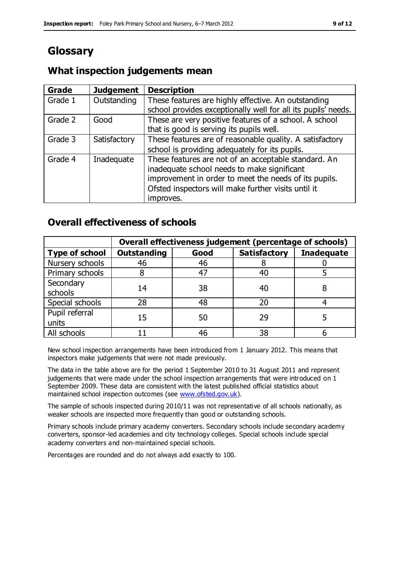# **Glossary**

## **What inspection judgements mean**

| Grade   | <b>Judgement</b> | <b>Description</b>                                                                                                                                                                                                               |
|---------|------------------|----------------------------------------------------------------------------------------------------------------------------------------------------------------------------------------------------------------------------------|
| Grade 1 | Outstanding      | These features are highly effective. An outstanding<br>school provides exceptionally well for all its pupils' needs.                                                                                                             |
| Grade 2 | Good             | These are very positive features of a school. A school<br>that is good is serving its pupils well.                                                                                                                               |
| Grade 3 | Satisfactory     | These features are of reasonable quality. A satisfactory<br>school is providing adequately for its pupils.                                                                                                                       |
| Grade 4 | Inadequate       | These features are not of an acceptable standard. An<br>inadequate school needs to make significant<br>improvement in order to meet the needs of its pupils.<br>Ofsted inspectors will make further visits until it<br>improves. |

## **Overall effectiveness of schools**

|                         | Overall effectiveness judgement (percentage of schools) |      |                     |                   |
|-------------------------|---------------------------------------------------------|------|---------------------|-------------------|
| <b>Type of school</b>   | <b>Outstanding</b>                                      | Good | <b>Satisfactory</b> | <b>Inadequate</b> |
| Nursery schools         | 46                                                      | 46   |                     |                   |
| Primary schools         |                                                         | 47   | 40                  |                   |
| Secondary<br>schools    | 14                                                      | 38   | 40                  |                   |
| Special schools         | 28                                                      | 48   | 20                  |                   |
| Pupil referral<br>units | 15                                                      | 50   | 29                  |                   |
| All schools             |                                                         | 46   | 38                  |                   |

New school inspection arrangements have been introduced from 1 January 2012. This means that inspectors make judgements that were not made previously.

The data in the table above are for the period 1 September 2010 to 31 August 2011 and represent judgements that were made under the school inspection arrangements that were introduced on 1 September 2009. These data are consistent with the latest published official statistics about maintained school inspection outcomes (see [www.ofsted.gov.uk\)](http://www.ofsted.gov.uk/).

The sample of schools inspected during 2010/11 was not representative of all schools nationally, as weaker schools are inspected more frequently than good or outstanding schools.

Primary schools include primary academy converters. Secondary schools include secondary academy converters, sponsor-led academies and city technology colleges. Special schools include special academy converters and non-maintained special schools.

Percentages are rounded and do not always add exactly to 100.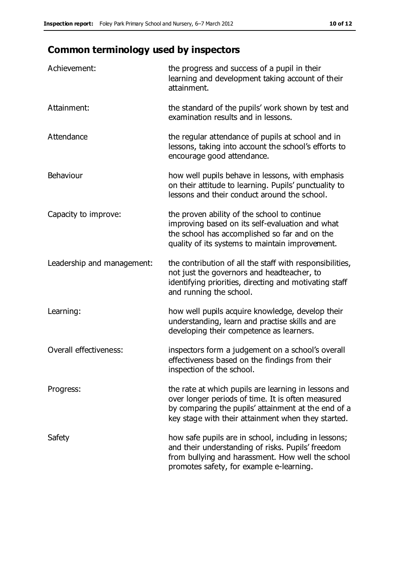# **Common terminology used by inspectors**

| Achievement:               | the progress and success of a pupil in their<br>learning and development taking account of their<br>attainment.                                                                                                        |
|----------------------------|------------------------------------------------------------------------------------------------------------------------------------------------------------------------------------------------------------------------|
| Attainment:                | the standard of the pupils' work shown by test and<br>examination results and in lessons.                                                                                                                              |
| Attendance                 | the regular attendance of pupils at school and in<br>lessons, taking into account the school's efforts to<br>encourage good attendance.                                                                                |
| Behaviour                  | how well pupils behave in lessons, with emphasis<br>on their attitude to learning. Pupils' punctuality to<br>lessons and their conduct around the school.                                                              |
| Capacity to improve:       | the proven ability of the school to continue<br>improving based on its self-evaluation and what<br>the school has accomplished so far and on the<br>quality of its systems to maintain improvement.                    |
| Leadership and management: | the contribution of all the staff with responsibilities,<br>not just the governors and headteacher, to<br>identifying priorities, directing and motivating staff<br>and running the school.                            |
| Learning:                  | how well pupils acquire knowledge, develop their<br>understanding, learn and practise skills and are<br>developing their competence as learners.                                                                       |
| Overall effectiveness:     | inspectors form a judgement on a school's overall<br>effectiveness based on the findings from their<br>inspection of the school.                                                                                       |
| Progress:                  | the rate at which pupils are learning in lessons and<br>over longer periods of time. It is often measured<br>by comparing the pupils' attainment at the end of a<br>key stage with their attainment when they started. |
| Safety                     | how safe pupils are in school, including in lessons;<br>and their understanding of risks. Pupils' freedom<br>from bullying and harassment. How well the school<br>promotes safety, for example e-learning.             |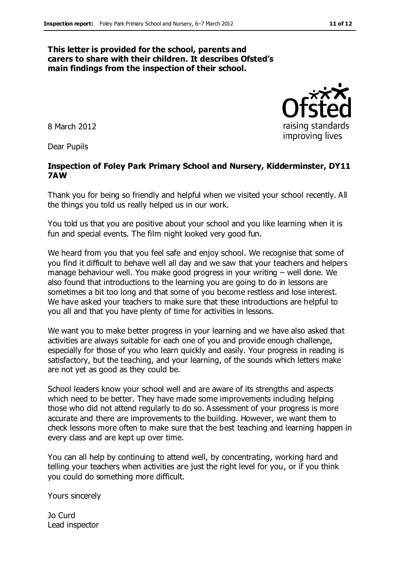#### **This letter is provided for the school, parents and carers to share with their children. It describes Ofsted's main findings from the inspection of their school.**

8 March 2012

Dear Pupils

#### **Inspection of Foley Park Primary School and Nursery, Kidderminster, DY11 7AW**

Thank you for being so friendly and helpful when we visited your school recently. All the things you told us really helped us in our work.

You told us that you are positive about your school and you like learning when it is fun and special events. The film night looked very good fun.

We heard from you that you feel safe and enjoy school. We recognise that some of you find it difficult to behave well all day and we saw that your teachers and helpers manage behaviour well. You make good progress in your writing – well done. We also found that introductions to the learning you are going to do in lessons are sometimes a bit too long and that some of you become restless and lose interest. We have asked your teachers to make sure that these introductions are helpful to you all and that you have plenty of time for activities in lessons.

We want you to make better progress in your learning and we have also asked that activities are always suitable for each one of you and provide enough challenge, especially for those of you who learn quickly and easily. Your progress in reading is satisfactory, but the teaching, and your learning, of the sounds which letters make are not yet as good as they could be.

School leaders know your school well and are aware of its strengths and aspects which need to be better. They have made some improvements including helping those who did not attend regularly to do so. Assessment of your progress is more accurate and there are improvements to the building. However, we want them to check lessons more often to make sure that the best teaching and learning happen in every class and are kept up over time.

You can all help by continuing to attend well, by concentrating, working hard and telling your teachers when activities are just the right level for you, or if you think you could do something more difficult.

Yours sincerely

Jo Curd Lead inspector